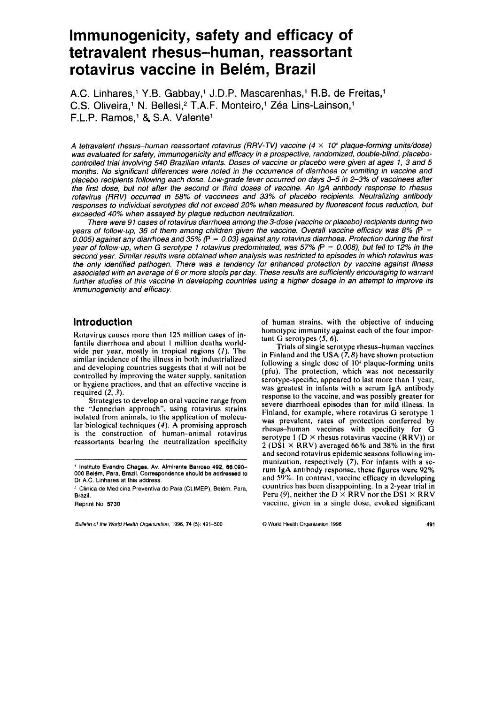# Immunogenicity, safety and efficacy of tetravalent rhesus-human, reassortant rotavirus vaccine in Belém, Brazil

A.C. Linhares,<sup>1</sup> Y.B. Gabbay,<sup>1</sup> J.D.P. Mascarenhas,<sup>1</sup> R.B. de Freitas,<sup>1</sup> C.S. Oliveira,<sup>1</sup> N. Bellesi,<sup>2</sup> T.A.F. Monteiro,<sup>1</sup> Zéa Lins-Lainson,<sup>1</sup> F.L.P. Ramos,<sup>1</sup> & S.A. Valente<sup>1</sup>

A tetravalent rhesus-human reassortant rotavirus (RRV-TV) vaccine  $(4 \times 10^4$  plaque-forming units/dose) was evaluated for safety, immunogenicity and efficacy in a prospective, randomized, double-blind, placebocontrolled trial involving 540 Brazilian infants. Doses of vaccine or placebo were given at ages 1, 3 and 5 months. No significant differences were noted in the occurrence of diarrhoea or vomiting in vaccine and placebo recipients following each dose. Low-grade fever occurred on days 3-5 in 2-3% of vaccinees after the first dose, but not after the second or third doses of vaccine. An IgA antibody response to rhesus rotavirus (RRV) occurred in 58% of vaccinees and 33% of placebo recipients. Neutralizing antibody responses to individual serotypes did not exceed 20% when measured by fluorescent focus reduction, but<br>exceeded 40% when assayed by plaque reduction neutralization.

There were 91 cases of rotavirus diarrhoea among the 3-dose (vaccine or placebo) recipients during two years of follow-up, 36 of them among children given the vaccine. Overall vaccine efficacy was 8% (P = 0.005) against any diarrhoea and 35% (P = 0.03) against any rotavirus diarrhoea. Protection during the first year of follow-up, when G serotype 1 rotavirus predominated, was 57% (P = 0.008), but fell to 12% in the second year. Similar results were obtained when analysis was restricted to episodes in which rotavirus was the only identified pathogen. There was a tendency for enhanced protection by vaccine against illness associated with an average of 6 or more stools per day. These results are sufficiently encouraging to warrant further studies of this vaccine in developing countries using a higher dosage in an attempt to improve its immunogenicity and efficacy.

# Introductlon

Rotavirus causes more than 125 million cases of infantile diarrhoea and about 1 million deaths worldwide per year, mostly in tropical regions  $(1)$ . The similar incidence of the illness in both industrialized and developing countries suggests that it will not be controlled by improving the water supply. sanitation or hygiene practices. and that an effective vaccine is required  $(2, 3)$ .

Strategies to develop an oral vaccine range from the "Jennerian approach", using rotavirus strains isolated from animals, to the application of molecular biological techniques  $(4)$ . A promising approach is the construction of human-animal rotavirus reassortants bearing the neutralization speciftcity

2 Clinica de Medicina Preventiva do Para (CLIMEP), Belém, Para, Brazil.

Reprint No. 5730

Bulletin of the World Health Organization, 1996, 74 (5): 491-500 **C**World Health Organization 1996

of human strains, with the objectíve of inducing homotypic immunity against each of the four important G serotypes  $(5, 6)$ .

Trials of single serotype rhesus-human vaccines in Finland and the USA (7, 8) have shown protection following a single dose of  $10<sup>4</sup>$  plaque-forming units (pfu). The protection, which was not necessarily serotype-specific, appeared to last more than 1 year, was greatest in infants with a serum IgA antibody response to the vaccine, and was possibly greater for severe diarrhoeal episodes than for mild illness. In Finland, for example, where rotavirus G serotype 1 was prevalent, rates of protection conferred by rhesus-human vaccines with specificity for G serotype 1 ( $D \times$  rhesus rotavirus vaccine (RRV)) or  $2 (D\dot{S}1 \times RRV)$  averaged 66% and 38% in the first and second rotavirus epidemic seasons following immunization, respectively  $(7)$ . For infants with a serum IgA antibody response, these figures were 92% and 59%. In contrast, vaccine efficacy in developing countries has been disappointing. In a 2-year trial in Peru (9), neither the  $D \times RRV$  nor the DS1  $\times RRV$ vaccine, given in a single dose, evoked significant

<sup>&</sup>lt;sup>1</sup> Instituto Evandro Chagas, Av. Almirante Barroso 492, 66.090-000 Belem, Para. Brazil. Correspondence should be addressed to Dr A.C. Linhares at this address.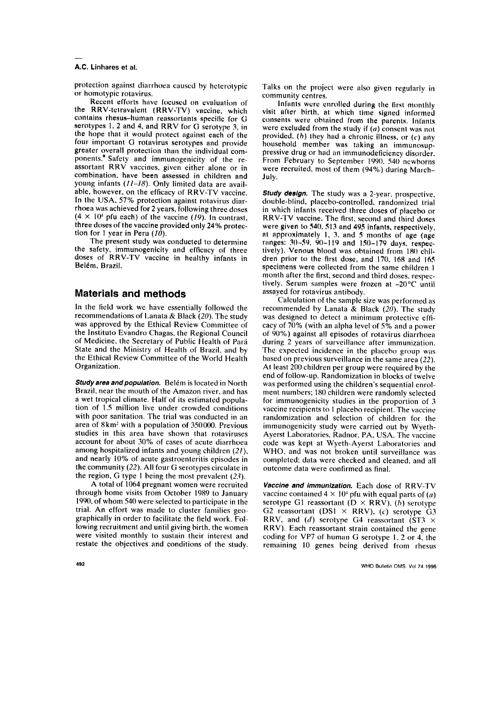#### A.C. Unhares et al.

protection against diarrhoea caused by heterotypic or homotypic rotavirus.

Recent efforts have focused on evaluation of the RRV-tetravalent (RRV-TV) vaccine, which contains rhesus-human reassortants specific for G serotypes 1, 2 and 4, and RRV for G serotype 3, in the hope that it would protect against each of the four important G rotavirus serotypes and provide greater overall protection than the individual com. ponents.<sup>\*</sup> Safety and immunogenicity of the reassortant RRV vaccines. given either alone or in combination, have been assessed in children and young infants (11-18). Only limited data are available, however, on the efficacy of RRV-TV vaccine. In the USA, 57% protection against rotavirus diarrhoea was achieved for 2 years. following three doses  $(4 \times 10^4$  pfu each) of the vaccine (19). In contrast, three doses of the vaccine provided only 24% protection for 1 year in Peru (10).

The present study was conducted to determine the safety, immunogenicity and efficacy of three doses of RRV-TV vaccine in healthy infants in Belém. Brazil.

## Materiais and methods

In the field work we hàve essentially followed the recommendations of Lanata & Black (20). The study was approved by the Ethical Review Committee of the Instituto Evandro Chagas. the Regional Council of Medicine. the Secretary of Public Health of Pará State and the Ministry of Health of Brazil. and by the Ethical Review Committee of the World Health Organization.

Study area and population. Belém is located in North Brazil. near the mouth of the Amazon river. and has a wet tropical climate. Half of its estimated population of 1.5 million live under crowded conditions with poor sanitation. The trial was conducted in an area of 8 km2 with a population of 350000. Previous studies in this area have shown that rotaviruses account for about 30% of cases of acute diarrhoea among hospitalized infants and young children (21 ), and nearly 10% of acute gastroenteritis episodes in the community (22). Ali four G serotypes circulate in the region. G type l being the most prevalent (23).

A total of 1064 pregnant women were recruited through home visits from October 1989 to January 1990, of whom 540 were selected to participate in the trial. An effort was made to cluster families geographically in order to facilitate the field work. Following recruitment and until giving birth, the women were visited monthly to sustain their interest and restate the objectives and conditions of the study.

Talks on the project were also given regularly in community centres.

Infants were enrolled during the first monthly visit after birth, at which time signed informed consents were obtained from the parents. Infants were excluded from the study if  $(a)$  consent was not provided,  $(b)$  they had a chronic illness, or  $(c)$  any household member was taking an immunosup. pressive drug or had an immunodeficiency disorder. From February to September 1990, 540 newborns were recruited, most of them (94% ) during March-July.

Study design. The study was a 2-year, prospective, double-blind, placebo-controlled, randomized trial in which infants received three doses of placebo or RRV-TV vaccine. The first, second and third doses were given to 540, 513 and 495 infants, respectively, at approximately 1, 3, and 5 months of age (age ranges: 30-59, 90-119 and 150-179 days, respectively). Venous blood was obtained from 180 children prior to the first dose, and 170, 168 and 165 specimens were collected from the same children 1 month after the first, second and third doses, respectively. Serum samples were frozen at  $-20^{\circ}$ C until assayed for rotavirus antibody.

Calculation of the sample size was performed as recommended by Lanata & Black (20). The study was designed to detect a minimum protective efficacy of  $70\%$  (with an alpha level of 5% and a power of 90%) against all episodes of rotavirus diarrhoea during 2 years of surveillance after immunization. The expected incidence in the placebo group was based on previous surveillance in the same area (22). At least 200 children per group were required by the end of follow-up. Randomization in blocks of twelve was performed using the children's sequential enrolment numbers; 180 children were randomly selected for immunogenicity studies in the proportion of 3 vaccine recipients to 1 placebo recipient. The vaccine randomization and selection of children for the immunogenicity study were carried out by Wyeth-Ayerst Laboratories, Radnor, PA, USA. The vaccine code was kept at Wyeth-Ayerst Laboratories and WHO, and was not broken until surveillance was completed; data were checked and cleaned, and all outcome data were confirmed as final.

Vaccine and immunization. Each dose of RRV-TV vaccine contained  $4 \times 10^4$  pfu with equal parts of (a) serotype G1 reassortant ( $D \times RRV$ ), (b) serotype G2 reassortant (DS1  $\times$  RRV), (c) serotype G3 RRV, and (d) serotype G4 reassortant (ST3  $\times$ RRV). Each reassortant strain contained the gene coding for VP7 of human G serotype I. 2 or 4. the remaining 10 genes being derived from rhesus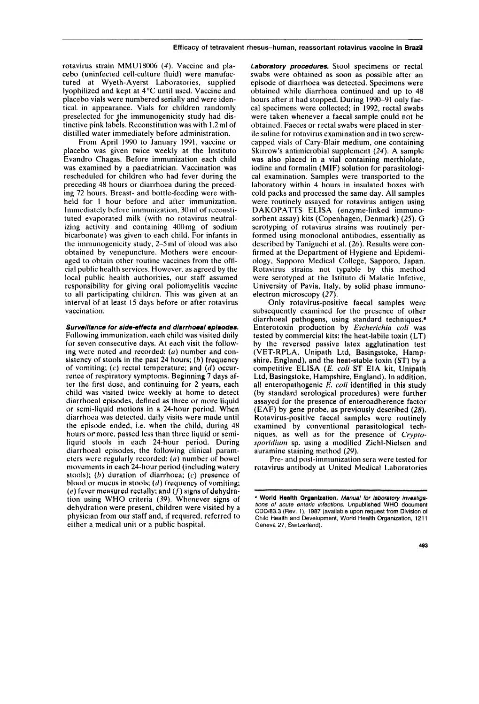rotavirus strain MMU18006 (4). Vaccine and placebo (uninfected cell-culture fluid) were manufactured at Wyeth-Ayerst Laboratories, supplied Iyophilized and kept at 4 °C until used. Vaccine and placebo yials were numbered serially and were identical in appearance. Vials for children randomly preselected for the immunogenicity study had dis tinctive pink labels. Reconstitution was with 1.2 ml of distilled water immediately before administration.

From April 1990 to January 1991, vaccine or placebo was given twice weekly at the Instituto Evandro Chagas. Before immunization each child was examined by a paediatrician. Vaccination was rescheduled for children who had fever during the preceding 48 hours or diarrhoea during the preceding 72 hours. Breast- and bottle-feeding were withheld for I hour before and after immunization. Immediately before immunization, 30ml of reconstituted evaporated milk (with no rotavirus neutralizing activity and containing  $400 \,\text{mg}$  of sodium bicarbonate) was given to each child. For infants in the immunogenicity study, 2-5ml of blood was also obtained by venepuncture. Mothers were encouraged to obtain other routine vaccines from the official public health services. However, as agreed by the local public health authorities, our staff assumed responsibility for giving oral poliomyelitis vaccine to all participating children. This was given at an interval bf at least 15 days before or after rotavirus vaccination.

Surveillance for side-effects and diarrhoeal episodes. Following immunization, each child was visited daily for seven consecutive days. At each visit the following were noted and recorded:  $(a)$  number and consistency of stools in the past 24 hours;  $(b)$  frequency of vomiting; (c) rectal temperature; and  $(d)$  occurrence of respiratory symptoms. Beginning 7 days after the first dose, and continuing for 2 years, each child was visited twice weekly at home to detect diarrhoeal episodes, defined as three or more liquid or semj-Iiquid motions in a 24.hour period. When diarrhoea was detected, daily visits were made until the episode ended, i.e. when the child, during 48 hours or more, passed less than three liquid or semiliquid stools in each 24-hour period. During diarrhoeal episodes, the following clinical parameters were regularly recorded: (a) number of bowel movements in each 24-hour period (including watery stools); (b) duration of diarrhoea; (c) presence of hlood or mucus in stools;  $(d)$  frequency of vomiting; (e) fever measured rectally; and  $(f)$  signs of dehydration using WHO criteria  $(39)$ . Whenever signs of dehydration were present, children were visited by a physician from our staff and, if required, referred to either a medical unit or a public hospital.

Laboratory procedures. Stool specimens or rectal swabs were obtained as soon as possible after an episode of diarrhoea was detected. Specimens were obtained while diarrhoea continued and up to 48 hours after it had stopped. During 1990-91 only faecal specimens were collected; in 1992, rectal swabs were taken whenever a faecal sample could not be obtained. Faeces or rectal swabs were placed in sterile saline for rotavirus examination and in two screwcapped vials of Cary-Blair medium, one containing Skirrow's antimicrobial supplement (24). A sample was also placed in a vial containing merthiolate, iodine and formalin (MIF) solution for parasitological examination. Samples were transported to the laboratory within 4 hours in insulated boxes with cold packs and processed the same day. All samples were routinely assayed for rotavirus antigen using DAKOPATfS ELISA (enzyme-Iinked immunosorbent assay) kits (Copenhagen, Denmark) (25). G serotyping of rotavirus strains was routinely performed using monoclonal antibodies, essentially as described by Taniguchi et al. (26). Results were confirmed at the Department of Hygiene and Epidemiology, Sapporo Medical College, Sapporo, Japan. Rotavirus strains not typable by this method were serotyped at the Istituto di Malatie Infetive, University of Pavia, Italy, by solid phase immunoelectron microscopy (27).

Only rotavirus-positive faecal samples were subsequently examined for the presence of other diarrhoeal pathogens, using standard techniques.<sup>4</sup> Enterotoxin production by Escherichia coli was tested by commercial kits: the heat-labile toxin (LT) by the reversed passive latex agglutination test (VET -RPLA, Unipath Ltd, Basingstoke, Hampshire, England), and the heat-stable toxin (ST) by a competitive ELISA (E. coli ST EIA kit, Unipath Ltd, Basingstoke, Hampshire, England). In addition, all enteropathogenic  $\vec{E}$ . coli identified in this study (by standard serological procedures) were further assayed for the presence of enteroadherence factor (EAF) by gene probe, as previously described (28). Rotavirus-positive faecal samples were routinely examined by conventional parasitological techniques, as well as for the presence of Cryptosporidium sp. using a modified Ziehl-Nielsen and auramine staining method (29).

Pre- and post-immunization sera were tested for rotavirus antibody at United Medical Laboratories

<sup>&</sup>lt;sup>a</sup> World Health Organization. Manual for laboratory investigations of acute enteric infections. Unpublished WHO document CDD/833 (Rev. 1),1987 (avaílable upon request from Division of Child Health and Development, World Health Organization, 1211 Geneva 27. Switzerland).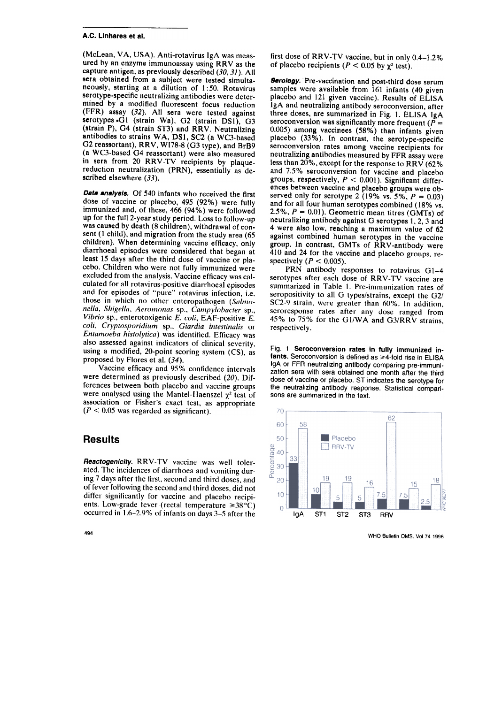#### A.C. Linhares et al.

(McLean, VA, USA). Anti-rotavirus IgA was measured by an enzyme immunoassay using RRV as the capture antigen, as previously described (30, 31). All sera obtained from a subject were tested simultaneously, starting at a dilution of 1 : 50. Rotavirus serotype.speciftc neutralizing antibodies were determined by a modifted ftuorescent focus reduction (FFR) assay (32). AJI sera were tested against serotypes .Gl (strain Wa), G2 (strain DS1), G3 (strain P), G4 (straln ST3) and RRV. Neutralizing antibodies to strains WA, DS1, SC2 (a WC3-based G2 reassortant), RRV, WI78-8 (G3 type), and BrB9 (a WC3-based G4 reassortant) were also measured in sera from 20 RRV-TV recipients by plaquereduction neutralization (PRN), essentially as described elsewhere (33).

Data analysis. Of 540 infants who received the first dose of vaccine or placebo, 495 (92%) were fully immunized and, of these, 466 (94%) were followed up for the full 2-year study period. Loss to follow-up was caused by death (8 children), withdrawal of consent  $(1 \text{ child})$ , and migration from the study area  $(65 \text{ }}$ children). When determining vaccine efficacy, only diarrhoeal episodes were considered that began at least 15 days after the third dose of vaccine or placebo. Children who were not fully immunized were excluded from the analysis. Vaccine efficacy was calculated for alI rotavirus-positive diarrhoeal episodes and for episodes of "pure" rotavirus infection, i.e. those in which no other enteropathogen (Salmonella, Shigella, Aeromonas sp., Campylobacter sp., V;brio sp., enterotoxigenic E. coli, EAF-positive E. coli. Cryptosporidium sp., Giardia intestinalis or Entamoeba histolytica) was identified. Efficacy was also assessed against indicators of clinical severity, using a modified, 20-point scoring system (CS), as proposed by Flores et al. (34).

Vaccine efficacy and 95% confidence intervals were determined as previously described (20). Differences between both placebo and vaccine groups were analysed using the Mantel-Haenszel  $\chi^2$  test of association or Fisher's exact test. as appropriate  $(P < 0.05$  was regarded as significant).

# **Results**

Reactogenicity. RRV-TV vaccine was well tolerated. The incidences of diarrhoea and vomiting during 7 days after the first, second and third doses, and of fever following the second and third doses. did not differ significantly for vaccine and placebo recipients. Low-grade fever (rectal temperature  $\geq 38^{\circ}C$ ) occurred in 1.6-2.9% of infants on days  $3-5$  after the IgA ST1 ST2 ST3 RRV

first dose of RRV-TV vaccine, but in only  $0.4 - 1.2$ % of placebo recipients ( $P < 0.05$  by  $\chi^2$  test).

Serology. Pre-vaccination and post-third dose serum samples were available from 161 infants (40 given placebo and 121 given vaccine). Results of ELISA IgA and neutralizing antibody seroconversion, after three doses, are summarized in Fig. I. ELISA IgA seroconversion was significantly more frequent ( $\bar{P}$  = 0.005) among vaccinees (58% ) than infants given placebo (33%). In contrast, the serotype-specific seroconversion rates among vaccine recipients for neutralizing antibodies measured by FFR assay were less than 20%, except for the response to RRV (62% and 7.5% seroconversion for vaccine and placebo groups. respectively,  $P < 0.001$ ). Significant differences between vaccine and placebo groups were ob. served only for serotype 2 (19% vs. 5%,  $P = 0.03$ ) and for all four human serotypes combined (18% vs. 2.5%,  $P = 0.01$ ). Geometric mean titres (GMTs) of neutralizing antibody against G serotypes 1, 2, 3 and 4 were also low. reaching a maximum value of 62 against combined human serotypes in the vaccine group. In contrast, GMTs of RRV-antibody were 410 and 24 for the vaccine and placebo groups. respectively ( $P < 0.005$ ).

PRN antibody responses to rotavirus Gl-4 serotypes after each dose of RRV-TV vaccine are summarized in Table 1. Pre-immunization rates of seropositivity to alI G types/strains, except the G2/  $SC2-9$  strain, were greater than  $60\%$ . In addition, seroresponse rates after any dose ranged from 45% to 75% for the G1/WA and G3/RRV strains. respectively.

Fig. 1. Seroconversion rates in fully immunized infants. Seroconversion is defined as  $\geq 4$ -fold rise in ELISA IgA or FFR neutralizing antibody comparing pre-immunization sera with sera obtained one month after the third dose of vaccine or placebo. ST indicates the serotype for the neutralizing antibody response. Statistical comparisons are summarized in the text.



<sup>494</sup> WHO Bulletin OMS. Vol 74 1996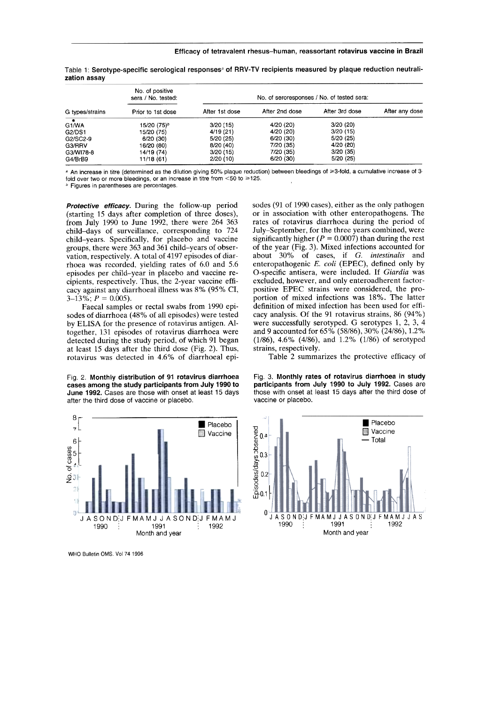|                    | No. of positive<br>sera / No. tested: | No. of seroresponses / No. of tested sera: |                |                |                |  |
|--------------------|---------------------------------------|--------------------------------------------|----------------|----------------|----------------|--|
| G types/strains    | Prior to 1st dose                     | After 1st dose                             | After 2nd dose | After 3rd dose | After any dose |  |
| $\bullet$<br>G1/WA | 15/20 (75) <sup>b</sup>               | 3/20(15)                                   | 4/20 (20)      | 3/20(20)       |                |  |
| G2/DS1             | 15/20 (75)                            | 4/19 (21)                                  | 4/20 (20)      | 3/20(15)       |                |  |
| G2/SC2-9           | 6/20(30)                              | 5/20 (25)                                  | 6/20(30)       | 5/20(25)       |                |  |
| G3/RRV             | 16/20 (80)                            | 8/20 (40)                                  | 7/20 (35)      | 4/20 (20)      |                |  |
| G3/WI78-8          | 14/19 (74)                            | 3/20(15)                                   | 7/20(35)       | 3/20(35)       |                |  |
| G4/BrB9            | 11/18 (61)                            | 2/20(10)                                   | 6/20 (30)      | 5/20(25)       |                |  |

Table 1: Serotype-specific serological responses<sup>a</sup> of RRV-TV recipients measured by plaque reduction neutralization assay

<sup>a</sup> An increase in titre (determined as the dilution giving 50% plaque reduction) between bleedings of ≥3-fold, a cumulative increase of 3 fold over two or more bleedings, or an increase in titre from  $<$  50 to  $\ge$  125.

*b* Figures in parentheses are percentages.

Protective efficacy. During the follow-up period (starting 15 days after completion of three doses), from July 1990 to June 1992, there were 264 363 child-days of surveillance, corresponding to 724 child-years. Specifically, for placebo and vaccine groups, there were 363 and 361 child-years of observation, respectively. A total of 4197 episodes of diarrhoea was recorded, yielding rates of 6.0 and 5.6 episodes per child-year in placebo and vaccine recipients, respectively. Thus, the 2-year vaccine efficacy against any diarrhoeal illness was 8% (95% CI,  $3-13\%$ ;  $P = 0.005$ ).

Faecal samples or rectal swabs from 1990 episodes of diarrhoea (48% of all episodes) were tested by ELISA for the presence of rotavirus antigen. Altogether, 131 episodes of rotavirus diarrhoea were detected during the study period, of which 91 began at least 15 days after the third dose (Fig. 2). Thus, rotavirus was detected in 4.6% of diarrhoeal epi-

Fig. 2. Monthly distribution of 91 rotavirus diarrhoea cases among the study participants from July 1990to June 1992. Cases are those with onset at least 15 days after the third dose of vaccine or placebo.



WHO Bulletin OMS. Vol 74 1996

sodes (91 of 1990 cases), either as the only pathogen or in association with other enteropathogens. The rates of rotavirus diarrhoea during the period of July-September, for the three years combined, were significantly higher ( $P = 0.0007$ ) than during the rest of the year (Fig. 3). Mixed infections accounted for about 30% of cases, if G. intestinalis and enteropathogenic E. coli (EPEC), defined only by O-specific antisera, were included. If Giardia was excluded, however, and only enteroadherent factorpositive EPEC strains were considered, the proportion of mixed infections was 18%. The latter definition of mixed infection has been used for efficacy analysis. Of the 91 rotavirus strains, 86 (94% ) were successfully serotyped. G serotypes 1, 2, 3, 4 and 9 accounted for  $65\%$  (58/86), 30% (24/86), 1.2% (1/86), 4.6% (4/86), and 1.2% (1/86) of serotyped strains, respectively.

Table 2 summarizes the protective efficacy of

Fig. 3. Monthly rates of rotavirus diarrhoea in study participants from July 1990 to July 1992. Cases are those with onset at least 15 days after the third dose of vaccine or placebo.

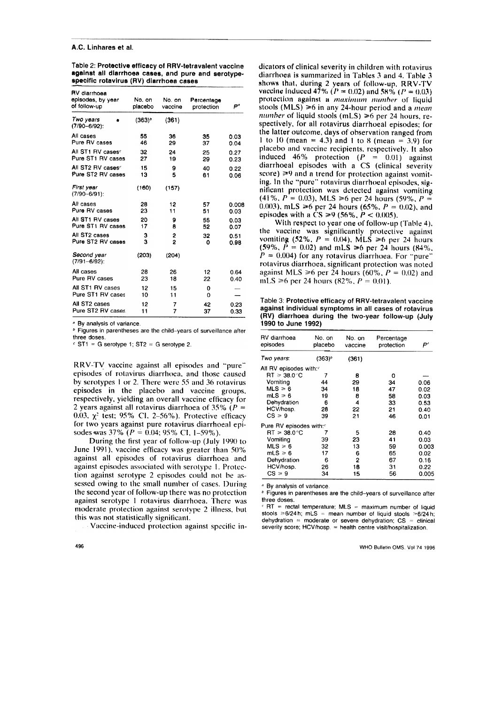Table 2: Protective efficacy of RRV-tetravalent vaccine against ail diarrhoea cases, and pure and serotypespecific rotavirus (RV) diarrhoea cases

| RV diarrhoea<br>episodes, by year<br>of follow-up | No, on<br>placebo | No. on<br>vaccine | Percentage<br>protection | P"    |
|---------------------------------------------------|-------------------|-------------------|--------------------------|-------|
| Two years<br>$(7/90 - 6/92)$ :                    | $(363)^{o}$       | (361)             |                          |       |
| All cases                                         | 55                | 36                | 35                       | 0.03  |
| Pure RV cases                                     | 46                | 29                | 37                       | 0.04  |
| All ST1 RV cases <sup>c</sup>                     | 32                | 24                | 25                       | 0.27  |
| Pure ST1 RV cases                                 | 27                | 19                | 29                       | 0.23  |
| All ST2 RV cases <sup>c</sup>                     | 15                | 9                 | 40                       | 0.22  |
| Pure ST2 RV cases                                 | 13                | 5                 | 61                       | 0.06  |
| First year<br>$(7/90 - 6/91)$ :                   | (160)             | (157)             |                          |       |
| All cases                                         | 28                | 12                | 57                       | 0.008 |
| Pure RV cases                                     | 23                | 11                | 51                       | 0.03  |
| All ST1 RV cases                                  | 20                | 9                 | 55                       | 0.03  |
| Pure ST1 RV cases                                 | 17                | 8                 | 52                       | 0.07  |
| All ST2 cases                                     | з                 | 2                 | 32                       | 0.51  |
| Pure ST2 RV cases                                 | 3                 | 2                 | ٥                        | 0.98  |
| Second year<br>$(7/91 - 6/92)$ :                  | (203)             | (204)             |                          |       |
| All cases                                         | 28                | 26                | 12                       | 0.64  |
| Pure RV cases                                     | 23                | 18                | 22                       | 0.40  |
| All ST1 RV cases                                  | 12                | 15                | 0                        |       |
| Pure ST1 RV cases                                 | 10                | 11                | 0                        |       |
| All ST2 cases                                     | 12                | 7                 | 42                       | 0.23  |
| Pure ST2 RV cases                                 | 11                | 7                 | 37                       | 0.33  |

<sup>a</sup> By analysis of variance

<sup>b</sup> Figures in parentheses are the child-years of surveillance after three doses

 $\epsilon$  ST1 = G serotype 1; ST2 = G serotype 2.

RRV-TV vaccine against all episodes and "pure" episodes of rotavirus diarrhoea, and those caused by serotypes 1 or 2. There were 55 and 36 rotavirus episodes in the placebo and vaccine groups, respectively, yielding an overall vaccine efficacy for 2 years against all rotavirus diarrhoea of 35% ( $P =$ 0.03,  $\chi^2$  test; 95% Cl, 2-56%). Protective efficacy for two years against pure rotavirus diarrhoeal episodes was 37% ( $P = 0.04$ ; 95% CI, 1-59%).

During the first year of follow-up (July 1990 to June 1991), vaccine efficacy was greater than 50% against all episodes of rotavirus diarrhoea and against episodes associated with serotype 1. Protection against serotype 2 episodes could not be assessed owing to the small number of cases. During the second year of follow-up there was no protection against serotype 1 rotavirus diarrhoea. There was moderate protection against serotype 2 illness, but this was not statistically significant.

Vaccine-induced protection against specific in-

dicators of clinical severity in children with rotavirus diarrhoea is summarized in Tables 3 and 4. Table 3 shows that, during 2 years of follow-up, RRV-TV vaccine induced  $47\%$  ( $P = 0.02$ ) and  $58\%$  ( $P = 0.03$ ) protection against a maximum number of liquid stools (MLS)  $\geq 6$  in any 24-hour period and a *mean number* of liquid stools (mLS)  $\geq 6$  per 24 hours, respectively, for all rotavirus diarrhoeal episodes; for the latter outcome, days of observation ranged from 1 to 10 (mean = 4.3) and 1 to 8 (mean = 3.9) for placebo and vaccine recipients, respectively. It also induced 46% protection  $(P = 0.01)$  against diarrhoeal episodes with a CS (clinical severity score)  $\geq 9$  and a trend for protection against vomiting. In the "pure" rotavirus diarrhoeal episodes, significant protection was detected against vomiting  $(41\%, P = 0.03)$ , MLS  $\ge 6$  per 24 hours (59%,  $P =$ 0.003), mLS  $\ge 6$  per 24 hours (65%,  $P = 0.02$ ), and episodes with a  $\dot{CS} \ge 9$  (56%,  $\dot{P} < 0.005$ ).

With respect to year one of follow-up (Table 4). the vaccine was significantly protective against<br>vomiting (52%,  $P = 0.04$ ), MLS ≥6 per 24 hours<br>(59%,  $P = 0.02$ ) and mLS ≥6 per 24 hours (84%,  $P = 0.004$ ) for any rotavirus diarrhoea. For "pure" rotavirus diarrhoea, significant protection was noted against MLS  $\geq 6$  per 24 hours (60%,  $P = 0.02$ ) and mLS  $\geq 6$  per 24 hours (82%,  $P = 0.01$ ).

Table 3: Protective efficacy of RRV-tetravalent vaccine against individual symptoms in all cases of rotavirus (RV) diarrhoea during the two-year follow-up (July 1990 to June 1992)

| RV diarrhoea<br>episodes                         | No. on<br>placebo | No. on<br>vaccine | Percentage<br>protection | Рª    |
|--------------------------------------------------|-------------------|-------------------|--------------------------|-------|
| Two years:                                       | $(363)^{b}$       | (361)             |                          |       |
| All RV episodes with: $c$                        |                   |                   |                          |       |
| $\mathsf{RT} \geqslant 38.0\,^{\circ}\mathsf{C}$ | 7                 | 8                 | n                        |       |
| Vomiting                                         | 44                | 29                | 34                       | 0.06  |
| $MLS \geq 6$                                     | 34                | 18                | 47                       | 0.02  |
| $mLS \geq 6$                                     | 19                | 8                 | 58                       | 0.03  |
| Dehydration                                      | 6                 | 4                 | 33                       | 0.53  |
| HCV/hosp.                                        | 28                | 22                | 21                       | 0.40  |
| $CS \geqslant 9$                                 | 39                | 21                | 46                       | 0.01  |
| Pure RV episodes with:"                          |                   |                   |                          |       |
| $RT \geqslant 38.0\degree C$                     | 7                 | 5                 | 28                       | 0.40  |
| Vomiting                                         | 39                | 23                | 41                       | 0.03  |
| $MLS \geq 6$                                     | 32                | 13                | 59                       | 0.003 |
| $mLS \geq 6$                                     | 17                | 6                 | 65                       | 0.02  |
| Dehydration                                      | 6                 | 2                 | 67                       | 0.16  |
| HCV/hosp.                                        | 26                | 18                | 31                       | 0.22  |
| $CS \geq 9$                                      | 34                | 15                | 56                       | 0.005 |

<sup>a</sup> By analysis of variance

<sup>b</sup> Figures in parentheses are the child-years of surveillance after three doses.

 $c$  RT = rectal temperature; MLS = maximum number of liquid stools  $\geq 6/24$  h; mLS = mean number of liquid stools  $\geq 6/24$  h; dehydration = moderate or severe dehydration;  $CS =$  clinical severity score; HCV/hosp. = health centre visit/hospitalization.

WHO Bulletin OMS. Vol 74 1996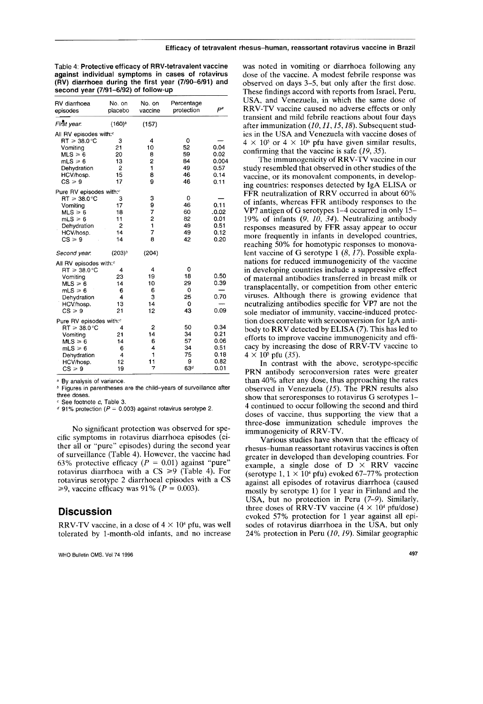Table 4. Protective efficacy of AAV-tetravalent vaccine against individual symptoms in cases of rotavirus (AV) diarrhoea during the first year (7/90-6/91) and second year (7/91-6/92) of follow-up

| RV diarrhoea<br>episodes            | No. on<br>placebo | No. on<br>vaccine | Percentage<br>protection | $P^a$ |
|-------------------------------------|-------------------|-------------------|--------------------------|-------|
| First year                          | $(160)^b$         | (157)             |                          |       |
| All RV episodes with: <sup>c</sup>  |                   |                   |                          |       |
| $RT \geqslant 38.0^{\circ}C$        | 3                 | 4                 | 0                        |       |
| Vomitina                            | 21                | 10                | 52                       | 0.04  |
| $MLS \geq 6$                        | 20                | 8                 | 59                       | 0.02  |
| $mLS \geq 6$                        | 13                | 2                 | 84                       | 0.004 |
| Dehydration                         | 2                 | 1                 | 49                       | 0.57  |
| HCV/hosp.                           | 15                | 8                 | 46                       | 0.14  |
| $CS \geq 9$                         | 17                | 9                 | 46                       | 0.11  |
| Pure RV episodes with:"             |                   |                   |                          |       |
| $RT \geqslant 38.0^{\circ}C$        | 3                 | з                 | 0                        |       |
| Vomiting                            | 17                | 9                 | 46                       | 0.11  |
| $MLS \geq 6$                        | 18                | 7                 | 60                       | .0.02 |
| $mLS \geq 6$                        | 11                | 2                 | 82                       | 0.01  |
| Dehydration                         | 2                 | $\mathbf{1}$      | 49                       | 0.51  |
| HCV/hosp.                           | 14                | $\overline{7}$    | 49                       | 0.12  |
| $CS \geqslant 9$                    | 14                | 8                 | 42                       | 0.20  |
| Second year.                        | $(203)^{b}$       | (204)             |                          |       |
| All RV episodes with: <sup>c</sup>  |                   |                   |                          |       |
| $RT \geqslant 38.0^{\circ}C$        | 4                 | 4                 | 0                        |       |
| Vomiting                            | 23                | 19                | 18                       | 0.50  |
| $MLS \ge 6$                         | 14                | 10                | 29                       | 0.39  |
| $mLS \geq 6$                        | 6                 | 6                 | 0                        |       |
| Dehydration                         | 4                 | 3                 | 25                       | 0.70  |
| HCV/hosp.                           | 13                | 14                | 0                        |       |
| $CS \geqslant 9$                    | 21                | 12                | 43                       | 0.09  |
| Pure RV episodes with: <sup>c</sup> |                   |                   |                          |       |
| $RT \geqslant 38.0^{\circ}C$        | 4                 | 2                 | 50                       | 0.34  |
| Vomiting                            | 21                | 14                | 34                       | 0.21  |
| $MLS \geq 6$                        | 14                | 6                 | 57                       | 0.06  |
| $mLS \geq 6$                        | 6                 | 4                 | 34                       | 0.51  |
| Dehydration                         | 4                 | 1                 | 75                       | 0.18  |
| HCV/hosp.                           | 12                | 11                | 9                        | 0.82  |
| $CS \geqslant 9$                    | 19                | 7                 | 63d                      | 0.01  |

<sup>a</sup>. By analysis of variance.

 $b$  Figures in parentheses are the child-years of surveillance after three doses.

 $\epsilon$  See footnote c, Table 3.

 $d$  91% protection ( $P = 0.003$ ) against rotavirus serotype 2.

No significant protection was observed for specific symptoms in rotavirus diarrhoea episodes (either ali or "pure" episodes) during the second year of surveillance (Table 4). However, the vaccine had 63% protective efficacy  $(P = 0.01)$  against "pure" rotavirus diarrhoea with a  $CS \geq 9$  (Table 4). For rotavirus serotype 2 diarrhoeal episodes with a CS  $\geq$ 9, vaccine efficacy was 91% ( $P = 0.003$ ).

## **Discussion**

RRV-TV vaccine, in a dose of  $4 \times 10^4$  pfu, was well tolerated by 1-month-old infants, and no increase

WHO Bulletin OMS. Vol 74 1996 497

was noted in vomiting or diarrhoea following any dose of the vaccine. A modest febrile response was observed on days 3-5, but only after the first dose. These findings accord with reports from Israel, Peru, USA, and Venezuela, in which the same dose of RRV-TV vaccine caused no adverse effects or only transient and mild febrile reactions about four days after immunization  $(10, 11, 15, 18)$ . Subsequent studies in the USA and Venezuela with vaccine doses of  $4 \times 10^5$  or  $4 \times 10^6$  pfu have given similar results, confirming that the vaccine is safe  $(19, 35)$ .

The immunogenicity of RRV-TV vaccine in our study resembled that observed in other studies of the vaccine, or its monovalent components, in developing countries: responses detected by IgA ELISA or FFR neutralization of RRV occurred in about 60% of infants, whereas FFR antibody responses to the VP7 antigen of G serotypes 1-4 occurred in only 15- 19% of infants  $(9, 10, 34)$ . Neutralizing antibody responses measured by FFR assay appear to occur more frequently in infants in developed countries, reaching 50% for homotypic responses to monovalent vaccine of G serotype 1 (8,17). Possible explanations for reduced immunogenicity of the vaccine in developing countries include a suppressive effect of maternal antibodies transferred in breast milk or transplacentally, or competition from other enteric viruses. Although there is growing evidence that neutralizing antibodies specific for VP7 are not the sole mediator of immunity, vaccine-induced protection does correlate with seroconversion for IgA antibody to RRV detected by ELISA (7). This has led to efforts to improve vaccine immunogenicity and efficacy by increasing the dose of RRV-TV vaccine to  $4 \times 10^5$  pfu (35).

In contrast with the above, serotype-specific PRN antibody seroconversion rates were greater than 40% after any dose, thus approaching the rates observed in Venezuela  $(15)$ . The PRN results also show that seroresponses to rotavirus G serotypes 1- 4 continued to occur following the second and third doses of vaccine, thus supporting the view that a three-dose immunization schedule improves the immunogenicity of RRV-TV.

Various studies have shown that the efficacy of rhesus-human reassortant rotavirus vaccines is often greater in developed than developing countries. For example, a single dose of  $D \times RRV$  vaccine (serotype  $1, 1 \times 10^4$  pfu) evoked 67-77% protection against alI episodes of rotavirus diarrhoea ( caused mostly by serotype 1) for 1 year in Finland and the USA, but no protection in Peru (7-9). Similarly, three doses of RRV-TV vaccine  $(4 \times 10^4 \text{ pfu/dose})$ evoked 57% protection for 1 year against alI episodes of rotavirus diarrhoea in the USA, but only 24% protection in Peru (10,19). Similar geographic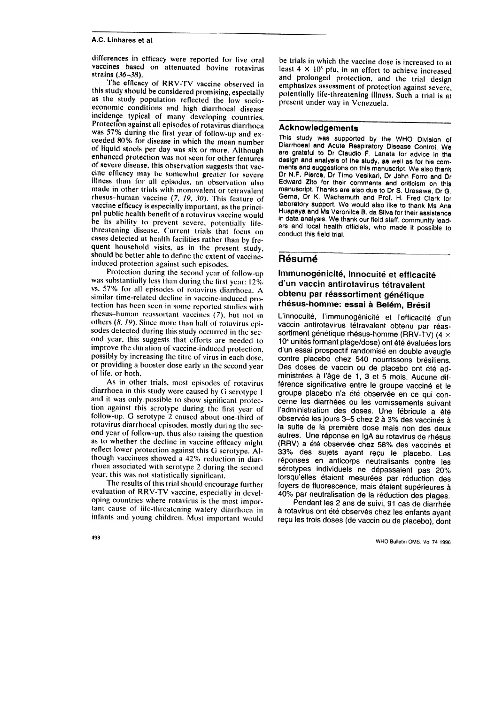#### A.C. Linhares et al.

differences in efficacy were reported for live oral vaccines based on attenuated bovine rotavirus strains  $(36 - 38)$ .

The efficacy of RRV-TV vaccine observed in this study should be considered promising, especially as the study population reflected the low socioeconomic conditions and high diarrhoeal disease incidence typical of many developing countries. Protection against all episodes of rotavirus diarrhoea was 57% during the first year of follow-up and exceeded 80% for disease in which the mean number of liquid stools per day was six or more. Although enhanced protection was not seen for other features of severe disease, this observation suggests that vaccine efficacy may be somewhat greater for severe illness than for all episodes, an observation also made in other trials with monovalent or tetravalent rhesus-human vaccine  $(7, 19, 30)$ . This feature of vaccine efficacy is especially important, as the principal public health benefit of a rotavirus vaccine would be its ability to prevent severe, potentially lifethreatening disease. Current trials that focus on cases detected at health facilities rather than by frequent household visits, as in the present study, should be better able to define the extent of vaccineinduced protection against such episodes.

Protection during the second year of follow-up was substantially less than during the first year: 12% vs. 57% for all episodes of rotavirus diarrhoea. A similar time-related decline in vaccine-induced protection has been seen in some reported studies with rhesus-human reassortant vaccines (7), but not in others (8, 19). Since more than half of rotavirus episodes detected during this study occurred in the second year, this suggests that efforts are needed to improve the duration of vaccine-induced protection, possibly by increasing the titre of virus in each dose, or providing a booster dose early in the second year of life, or both.

As in other trials, most episodes of rotavirus diarrhoea in this study were caused by G serotype 1 and it was only possible to show significant protection against this serotype during the first year of follow-up. G serotype 2 caused about one-third of rotavirus diarrhoeal episodes, mostly during the second year of follow-up, thus also raising the question as to whether the decline in vaccine efficacy might reflect lower protection against this G serotype. Although vaccinees showed a 42% reduction in diarrhoea associated with serotype 2 during the second year, this was not statistically significant.

The results of this trial should encourage further evaluation of RRV-TV vaccine, especially in developing countries where rotavirus is the most important cause of life-threatening watery diarrhoea in infants and young children. Most important would

be trials in which the vaccine dose is increased to at least  $4 \times 10^5$  pfu, in an effort to achieve increased and prolonged protection, and the trial design emphasizes assessment of protection against severe. potentially life-threatening illness. Such a trial is at present under way in Venezuela.

## Acknowledgements

This study was supported by the WHO Division of Diarrhoeal and Acute Respiratory Disease Control. We are grateful to Dr Claudio F. Lanata for advice in the design and analysis of the study, as well as for his comments and suggestions on this manuscript. We also thank Dr N.F. Plerce, Dr Timo Vesikari, Dr John Forro and Dr Edward Zito for their comments and criticism on this manuscript. Thanks are also due to Dr S. Urasawa, Dr G. Gerna, Dr K. Wachsmuth and Prof. H. Fred Clark for laboratory support. We would also like to thank Ms Ana Huapaya and Ms Veronilce B. da Silva for their assistance in data analysis. We thank our field staff, community leaders and local health officials, who made it possible to conduct this field trial.

## Résumé

## Immunogénicité, innocuité et efficacité d'un vaccin antirotavirus tétravalent obtenu par réassortiment génétique rhésus-homme: essai à Belém, Brésil

L'innocuité, l'immunogénicité et l'efficacité d'un vaccin antirotavirus tétravalent obtenu par réassortiment génétique rhésus-homme (RRV-TV) (4  $\times$ 10<sup>4</sup> unités formant plage/dose) ont été évaluées lors d'un essai prospectif randomisé en double aveugle contre placebo chez 540 nourrissons brésiliens. Des doses de vaccin ou de placebo ont été administrées à l'âge de 1, 3 et 5 mois. Aucune différence significative entre le groupe vacciné et le groupe placebo n'a été observée en ce qui concerne les diarrhées ou les vomissements suivant l'administration des doses. Une fébricule a été observée les jours 3-5 chez 2 à 3% des vaccinés à la suite de la première dose mais non des deux autres. Une réponse en IgA au rotavirus de rhésus (RRV) a été observée chez 58% des vaccinés et 33% des sujets ayant reçu le placebo. Les réponses en anticorps neutralisants contre les sérotypes individuels ne dépassaient pas 20% lorsqu'elles étaient mesurées par réduction des foyers de fluorescence, mais étaient supérieures à 40% par neutralisation de la réduction des plages.

Pendant les 2 ans de suivi, 91 cas de diarrhée à rotavirus ont été observés chez les enfants ayant reçu les trois doses (de vaccin ou de placebo), dont

WHO Bulletin OMS. Vol 74 1996

498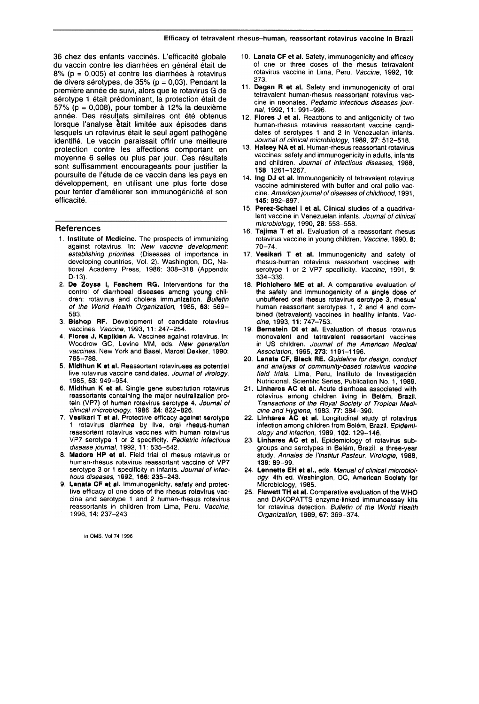36 chez des enfants vaccinés. L'efficacité globale du vaccin contre les diarrhées en général était de 8% (p = 0,005) et contre les diarrhées à rotavirus de divers sérotypes, de 35% (p = 0,03). Pendant Ia premiere année de suivi, alors que le rotavirus G de sérotype 1 était prédominant, Ia protection était de 57% ( $p = 0,008$ ), pour tomber à 12% la deuxième année. Des résultats similaires ont été obtenus lorsque I'analyse êtait limitée aux épisodes dans lesquels un rotavirus était le seul agent pathogène identifié. Le vaccin paraissait offrir une meilleure protection contre les affections comportant en moyenne 6 selles ou plus par jour. Ces résultats sont suffisamment encourageants pour justifier Ia poursuite de I'étude de ce vaccin dans les pays en développement, en utilisant une plus forte dose pour tenter d'améliorer son immunogénicité et son efficacité.

#### **References**

- 1. Institute of Medicine. The prospects of immunizing against rotavirus. In: New vaccine development: establishing priorities. (Diseases of importance in developing countries, Vol. 2). Washington, DC, National Academy Press, 1986: 308-318 (Appendix D-13).
- 2. De Zoysa I, Feachem RG. Interventions for the control of diarrhoeal diseases among young chil. dren: rotavirus and cholera immunization. Bulletin of the World Health Organization, 1985, 63: 569- 583.
- 3. Bishop RF. Development of candidate rotavirus vaccines. Vaccine, 1993, 11: 247-254.
- Flores J, Kapikian A. Vaccines against rotavirus. In: Woodrow GC, Levine MM, eds. New generation vaccines. New York and Basel, Marcel Dekker, 1990: 765-788.
- 5. Midthun K et al. Reassortant rotaviruses as potential live rotavirus vacclne candldates. Journal of virology, 1985, 53.949-954.
- 6. Midthun K et al. Single gene substitution rotavirus reassortants containing the major neutralization protein (VP7) of human rotavirus serotype 4, Journal of clinical microbiology, 1986, 24: 822-826.
- 7. Vesikari T et al. Protective efficacy against serotype 1 rotavirus diarrhea by Ilve, oral rhesus.human reassortant rotavirus vaccines with human rotavirus VP7 serotype 1 or 2 specificity. Pediatric infectious disease journal, 1992, 11: 535-542.
- 8. Madore HP et al. Field trial of rhesus rotavirus or human-rhesus rotavirus reassortant vaccine of VP7 serotype 3 or 1 specificity in infants. Journal of infectious diseases, 1992, 166: 235-243.
- 9. Lanata CF et al. Immunogenicity, safety and protective efficacy of one dose of the rhesus rotavirus vaccine and serotype 1 and 2 human.rhesus rotavirus reassortants in children from Lima, Peru. Vaccine, 1996, 14: 237-243.

in OMS. Vol 74 1996

- 10. Lanata CF et al. Safety, immunogenicity and efficacy of one or three doses of the rhesus tetravalent rotavirus vaccine in Lima, Peru. Vaccine, 1992, 10: 273.
- 11. Dagan R et al. Safety and immunogenicity of oral tetravalent human-rhesus reassortant rotavirus vaccine in neonates. Pediatric infectious diseases journal, 1992, 11: 991-996.
- 12. Flores J et al. Reactions to and antigenicity of two human-rhesus rotavirus reassortant vaccine candidates of serotypes 1 and 2 in Venezuelan infants. Journal of clinical microbiology, 1989, 27: 512-518.
- 13. Halsey NA et al. Human-rhesus reassortant rotavirus vaccines: safety and immunogenicity in adults, infants and children. Journal of infectious diseases, 1988, 158: 1261-1267.
- 14. Ing DJ et al. Immunogenicity of tetravalent rotavirus vaccine administered with buffer and oral polio vaccine. American journal of diseases of childhood, 1991, 145.892-897.
- 15. Perez-Schael I et al. Clinical studies of a quadrivalent vaccine in Venezuelan infants. Journal of clinical microbiology, 1990, 28: 553-558.
- 16. Tajima T et al. Evaluation of a reassortant rhesus rotavirus vaccine in young children. Vaccine, 1990, 8: 70-74.
- 17. Vesikari T et al. Immunogenicity and safety of rhesus-human rotavirus reassortant vaccines with serotype 1 or 2 VP7 specificity. Vaccine, 1991, 9: 334-339.
- 18. Plchlchero ME et al. A comparative evaluation of the safety and ímmunogenlcity of a single dose of unbuffered oral rhesus rotavirus serotype 3, rhesus/ human reassortant serotypes 1, 2 and 4 and combined (tetravalent) vaccines in healthy infants. Vaccine, 1993,11: 747-753.
- 19. Bernstein DI et al. Evaluation of rhesus rotavirus monovalent and tetravalent reassortant vaccines in US children. Journal of the American Medical Association, 1995, 273: 1191-1196.
- 20. Lanata CF, Black RE. Guideline for design, conduct and analysis of community-based rotavirus vaccine field trials. Lima, Peru, Instituto de Investigación Nutricional. Scientific Series, Publication No.1, 1989.
- 21. Llnhares AC et al. Acute diarrhoea associated with rotavirus among children living in Belém, Brazll. Transactions of the Royal Society of Tropical Medicine and Hygiene, 1983, 77: 384-390.
- 22. Linhares AC et al. Longitudinal study of rotavirus infection among children from Belém, Brazil. Epidemiology and infection, 1989, 102: 129-146.
- 23. Linhares AC et al. Epidemiology of rotavirus subgroups and serotypes in Belém, Brazil: a three-year study. Annales de l'Institut Pasteur. Virologie, 1988, 139: 89-99
- 24. Lennette EH et al., eds. Manual of clinical microbiology. 4th ed. Washington, DC, Amerlcan Soclety for Microbiology, 1985.
- 25. Flewett TH et al. Comparative evaluation of the WHO and DAKOPATTS enzyme.linked immunoassay kits for rotavirus detection. Bulletin of the World Healti Organization, 1989, **67**: 369–37